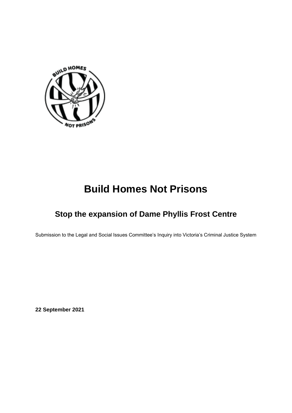<span id="page-0-0"></span>

# **Build Homes Not Prisons**

# <span id="page-0-2"></span><span id="page-0-1"></span>**Stop the expansion of Dame Phyllis Frost Centre**

<span id="page-0-3"></span>Submission to the Legal and Social Issues Committee's Inquiry into Victoria's Criminal Justice System

**22 September 2021**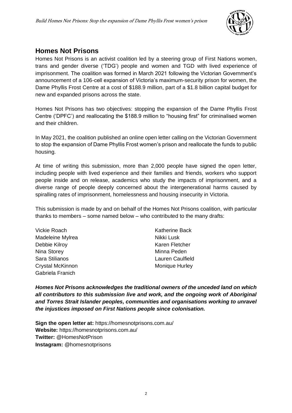

### <span id="page-1-0"></span>**Homes Not Prisons**

Homes Not Prisons is an activist coalition led by a steering group of First Nations women, trans and gender diverse ('TDG') people and women and TGD with lived experience of imprisonment. The coalition was formed in March 2021 following the Victorian Government's announcement of a 106-cell expansion of Victoria's maximum-security prison for women, the Dame Phyllis Frost Centre at a cost of \$188.9 million, part of a \$1.8 billion capital budget for new and expanded prisons across the state.

Homes Not Prisons has two objectives: stopping the expansion of the Dame Phyllis Frost Centre ('DPFC') and reallocating the \$188.9 million to "housing first" for criminalised women and their children.

In May 2021, the coalition published an online open letter calling on the Victorian Government to stop the expansion of Dame Phyllis Frost women's prison and reallocate the funds to public housing.

At time of writing this submission, more than 2,000 people have signed the open letter, including people with lived experience and their families and friends, workers who support people inside and on release, academics who study the impacts of imprisonment, and a diverse range of people deeply concerned about the intergenerational harms caused by spiralling rates of imprisonment, homelessness and housing insecurity in Victoria.

This submission is made by and on behalf of the Homes Not Prisons coalition, with particular thanks to members – some named below – who contributed to the many drafts:

| Vickie Roach     | <b>Katherine Back</b> |
|------------------|-----------------------|
| Madeleine Mylrea | Nikki Lusk            |
| Debbie Kilroy    | Karen Fletcher        |
| Nina Storey      | Minna Peden           |
| Sara Stilianos   | Lauren Caulfield      |
| Crystal McKinnon | <b>Monique Hurley</b> |
| Gabriela Franich |                       |

*Homes Not Prisons acknowledges the traditional owners of the unceded land on which all contributors to this submission live and work, and the ongoing work of Aboriginal and Torres Strait Islander peoples, communities and organisations working to unravel the injustices imposed on First Nations people since colonisation.* 

**Sign the open letter at:** https://homesnotprisons.com.au/ **Website:** https://homesnotprisons.com.au/ **Twitter:** @HomesNotPrison **Instagram:** @homesnotprisons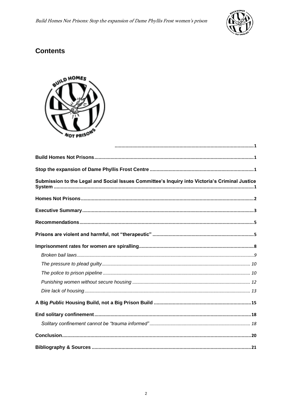

# **Contents**



| Submission to the Legal and Social Issues Committee's Inquiry into Victoria's Criminal Justice |
|------------------------------------------------------------------------------------------------|
|                                                                                                |
|                                                                                                |
|                                                                                                |
|                                                                                                |
|                                                                                                |
|                                                                                                |
|                                                                                                |
|                                                                                                |
|                                                                                                |
|                                                                                                |
|                                                                                                |
|                                                                                                |
|                                                                                                |
|                                                                                                |
|                                                                                                |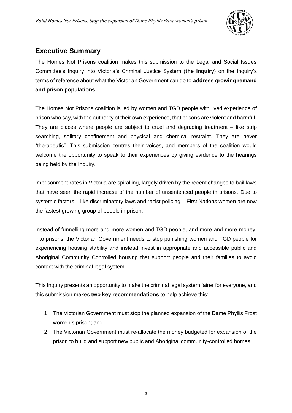

### <span id="page-3-0"></span>**Executive Summary**

The Homes Not Prisons coalition makes this submission to the Legal and Social Issues Committee's Inquiry into Victoria's Criminal Justice System (**the Inquiry**) on the Inquiry's terms of reference about what the Victorian Government can do to **address growing remand and prison populations.** 

The Homes Not Prisons coalition is led by women and TGD people with lived experience of prison who say, with the authority of their own experience, that prisons are violent and harmful. They are places where people are subject to cruel and degrading treatment – like strip searching, solitary confinement and physical and chemical restraint. They are never "therapeutic". This submission centres their voices, and members of the coalition would welcome the opportunity to speak to their experiences by giving evidence to the hearings being held by the Inquiry.

Imprisonment rates in Victoria are spiralling, largely driven by the recent changes to bail laws that have seen the rapid increase of the number of unsentenced people in prisons. Due to systemic factors – like discriminatory laws and racist policing – First Nations women are now the fastest growing group of people in prison.

Instead of funnelling more and more women and TGD people, and more and more money, into prisons, the Victorian Government needs to stop punishing women and TGD people for experiencing housing stability and instead invest in appropriate and accessible public and Aboriginal Community Controlled housing that support people and their families to avoid contact with the criminal legal system.

This Inquiry presents an opportunity to make the criminal legal system fairer for everyone, and this submission makes **two key recommendations** to help achieve this:

- 1. The Victorian Government must stop the planned expansion of the Dame Phyllis Frost women's prison; and
- 2. The Victorian Government must re-allocate the money budgeted for expansion of the prison to build and support new public and Aboriginal community-controlled homes.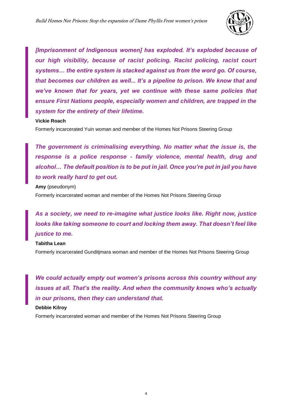

*[Imprisonment of Indigenous women] has exploded. It's exploded because of our high visibility, because of racist policing. Racist policing, racist court systems… the entire system is stacked against us from the word go. Of course, that becomes our children as well... It's a pipeline to prison. We know that and we've known that for years, yet we continue with these same policies that ensure First Nations people, especially women and children, are trapped in the system for the entirety of their lifetime.*

#### **Vickie Roach**

Formerly incarcerated Yuin woman and member of the Homes Not Prisons Steering Group

*The government is criminalising everything. No matter what the issue is, the response is a police response - family violence, mental health, drug and alcohol… The default position is to be put in jail. Once you're put in jail you have to work really hard to get out.*

**Amy** (pseudonym) Formerly incarcerated woman and member of the Homes Not Prisons Steering Group

*As a society, we need to re-imagine what justice looks like. Right now, justice looks like taking someone to court and locking them away. That doesn't feel like justice to me.* 

#### **Tabitha Lean**

Formerly incarcerated Gunditjmara woman and member of the Homes Not Prisons Steering Group

*We could actually empty out women's prisons across this country without any issues at all. That's the reality. And when the community knows who's actually in our prisons, then they can understand that.*

#### **Debbie Kilroy**

Formerly incarcerated woman and member of the Homes Not Prisons Steering Group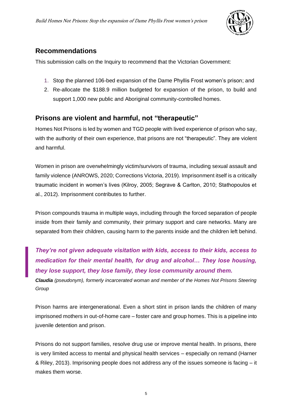

### <span id="page-5-0"></span>**Recommendations**

This submission calls on the Inquiry to recommend that the Victorian Government:

- 1. Stop the planned 106-bed expansion of the Dame Phyllis Frost women's prison; and
- 2. Re-allocate the \$188.9 million budgeted for expansion of the prison, to build and support 1,000 new public and Aboriginal community-controlled homes.

### <span id="page-5-1"></span>**Prisons are violent and harmful, not "therapeutic"**

Homes Not Prisons is led by women and TGD people with lived experience of prison who say, with the authority of their own experience, that prisons are not "therapeutic". They are violent and harmful.

Women in prison are overwhelmingly victim/survivors of trauma, including sexual assault and family violence (ANROWS, 2020; Corrections Victoria, 2019). Imprisonment itself is a critically traumatic incident in women's lives (Kilroy, 2005; Segrave & Carlton, 2010; Stathopoulos et al., 2012). Imprisonment contributes to further.

Prison compounds trauma in multiple ways, including through the forced separation of people inside from their family and community, their primary support and care networks. Many are separated from their children, causing harm to the parents inside and the children left behind.

*They're not given adequate visitation with kids, access to their kids, access to medication for their mental health, for drug and alcohol… They lose housing, they lose support, they lose family, they lose community around them.* 

*Claudia (pseudonym), formerly incarcerated woman and member of the Homes Not Prisons Steering Group*

Prison harms are intergenerational. Even a short stint in prison lands the children of many imprisoned mothers in out-of-home care – foster care and group homes. This is a pipeline into juvenile detention and prison.

Prisons do not support families, resolve drug use or improve mental health. In prisons, there is very limited access to mental and physical health services – especially on remand (Harner & Riley, 2013). Imprisoning people does not address any of the issues someone is facing – it makes them worse.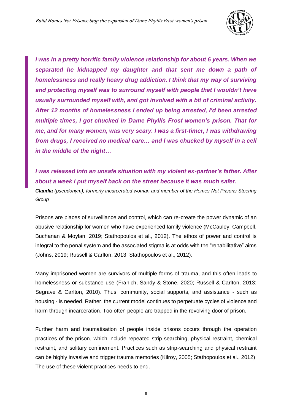

*I was in a pretty horrific family violence relationship for about 6 years. When we separated he kidnapped my daughter and that sent me down a path of homelessness and really heavy drug addiction. I think that my way of surviving and protecting myself was to surround myself with people that I wouldn't have usually surrounded myself with, and got involved with a bit of criminal activity. After 12 months of homelessness I ended up being arrested, I'd been arrested multiple times, I got chucked in Dame Phyllis Frost women's prison. That for me, and for many women, was very scary. I was a first-timer, I was withdrawing from drugs, I received no medical care… and I was chucked by myself in a cell in the middle of the night…* 

*I was released into an unsafe situation with my violent ex-partner's father. After about a week I put myself back on the street because it was much safer.*

*Claudia (pseudonym), formerly incarcerated woman and member of the Homes Not Prisons Steering Group*

Prisons are places of surveillance and control, which can re-create the power dynamic of an abusive relationship for women who have experienced family violence (McCauley, Campbell, Buchanan & Moylan, 2019; Stathopoulos et al., 2012). The ethos of power and control is integral to the penal system and the associated stigma is at odds with the "rehabilitative" aims (Johns, 2019; Russell & Carlton, 2013; Stathopoulos et al., 2012).

Many imprisoned women are survivors of multiple forms of trauma, and this often leads to homelessness or substance use (Franich, Sandy & Stone, 2020; Russell & Carlton, 2013; Segrave & Carlton, 2010). Thus, community, social supports, and assistance - such as housing - is needed. Rather, the current model continues to perpetuate cycles of violence and harm through incarceration. Too often people are trapped in the revolving door of prison.

Further harm and traumatisation of people inside prisons occurs through the operation practices of the prison, which include repeated strip-searching, physical restraint, chemical restraint, and solitary confinement. Practices such as strip-searching and physical restraint can be highly invasive and trigger trauma memories (Kilroy, 2005; Stathopoulos et al., 2012). The use of these violent practices needs to end.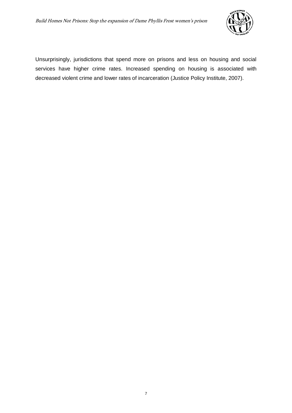

Unsurprisingly, jurisdictions that spend more on prisons and less on housing and social services have higher crime rates. Increased spending on housing is associated with decreased violent crime and lower rates of incarceration (Justice Policy Institute, 2007).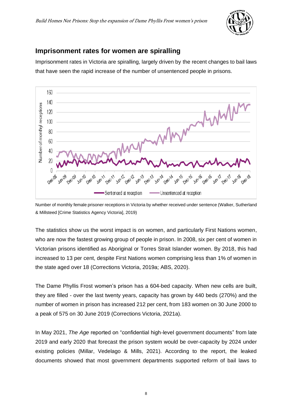

### <span id="page-8-0"></span>**Imprisonment rates for women are spiralling**

Imprisonment rates in Victoria are spiralling, largely driven by the recent changes to bail laws that have seen the rapid increase of the number of unsentenced people in prisons.



Number of monthly female prisoner receptions in Victoria by whether received under sentence (Walker, Sutherland & Millsteed [Crime Statistics Agency Victoria], 2019)

The statistics show us the worst impact is on women, and particularly First Nations women, who are now the fastest growing group of people in prison. In 2008, six per cent of women in Victorian prisons identified as Aboriginal or Torres Strait Islander women. By 2018, this had increased to 13 per cent, despite First Nations women comprising less than 1% of women in the state aged over 18 (Corrections Victoria, 2019a; ABS, 2020).

The Dame Phyllis Frost women's prison has a 604-bed capacity. When new cells are built, they are filled - over the last twenty years, capacity has grown by 440 beds (270%) and the number of women in prison has increased 212 per cent, from 183 women on 30 June 2000 to a peak of 575 on 30 June 2019 (Corrections Victoria, 2021a).

In May 2021, *The Age* reported on "confidential high-level government documents" from late 2019 and early 2020 that forecast the prison system would be over-capacity by 2024 under existing policies (Millar, Vedelago & Mills, 2021). According to the report, the leaked documents showed that most government departments supported reform of bail laws to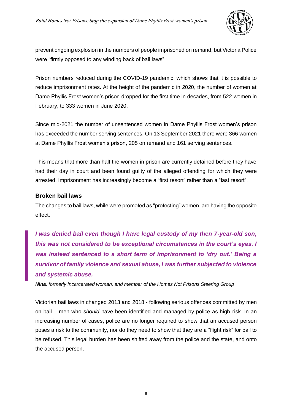

prevent ongoing explosion in the numbers of people imprisoned on remand, but Victoria Police were "firmly opposed to any winding back of bail laws".

Prison numbers reduced during the COVID-19 pandemic, which shows that it is possible to reduce imprisonment rates. At the height of the pandemic in 2020, the number of women at Dame Phyllis Frost women's prison dropped for the first time in decades, from 522 women in February, to 333 women in June 2020.

Since mid-2021 the number of unsentenced women in Dame Phyllis Frost women's prison has exceeded the number serving sentences. On 13 September 2021 there were 366 women at Dame Phyllis Frost women's prison, 205 on remand and 161 serving sentences.

This means that more than half the women in prison are currently detained before they have had their day in court and been found guilty of the alleged offending for which they were arrested. Imprisonment has increasingly become a "first resort" rather than a "last resort".

#### <span id="page-9-0"></span>**Broken bail laws**

The changes to bail laws, while were promoted as "protecting" women, are having the opposite effect.

*I was denied bail even though I have legal custody of my then 7-year-old son, this was not considered to be exceptional circumstances in the court's eyes. I was instead sentenced to a short term of imprisonment to 'dry out.' Being a survivor of family violence and sexual abuse, I was further subjected to violence and systemic abuse.*

*Nina, formerly incarcerated woman, and member of the Homes Not Prisons Steering Group*

Victorian bail laws in changed 2013 and 2018 - following serious offences committed by men on bail – men who *should* have been identified and managed by police as high risk. In an increasing number of cases, police are no longer required to show that an accused person poses a risk to the community, nor do they need to show that they are a "flight risk" for bail to be refused. This legal burden has been shifted away from the police and the state, and onto the accused person.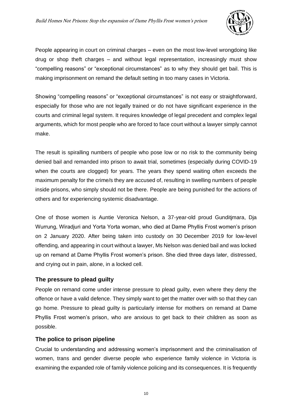

People appearing in court on criminal charges – even on the most low-level wrongdoing like drug or shop theft charges – and without legal representation, increasingly must show "compelling reasons" or "exceptional circumstances" as to why they should get bail. This is making imprisonment on remand the default setting in too many cases in Victoria.

Showing "compelling reasons" or "exceptional circumstances" is not easy or straightforward, especially for those who are not legally trained or do not have significant experience in the courts and criminal legal system. It requires knowledge of legal precedent and complex legal arguments, which for most people who are forced to face court without a lawyer simply cannot make.

The result is spiralling numbers of people who pose low or no risk to the community being denied bail and remanded into prison to await trial, sometimes (especially during COVID-19 when the courts are clogged) for years. The years they spend waiting often exceeds the maximum penalty for the crime/s they are accused of, resulting in swelling numbers of people inside prisons, who simply should not be there. People are being punished for the actions of others and for experiencing systemic disadvantage.

One of those women is Auntie Veronica Nelson, a 37-year-old proud Gunditjmara, Dja Wurrung, Wiradjuri and Yorta Yorta woman, who died at Dame Phyllis Frost women's prison on 2 January 2020. After being taken into custody on 30 December 2019 for low-level offending, and appearing in court without a lawyer, Ms Nelson was denied bail and was locked up on remand at Dame Phyllis Frost women's prison. She died three days later, distressed, and crying out in pain, alone, in a locked cell.

### <span id="page-10-0"></span>**The pressure to plead guilty**

People on remand come under intense pressure to plead guilty, even where they deny the offence or have a valid defence. They simply want to get the matter over with so that they can go home. Pressure to plead guilty is particularly intense for mothers on remand at Dame Phyllis Frost women's prison, who are anxious to get back to their children as soon as possible.

### <span id="page-10-1"></span>**The police to prison pipeline**

Crucial to understanding and addressing women's imprisonment and the criminalisation of women, trans and gender diverse people who experience family violence in Victoria is examining the expanded role of family violence policing and its consequences. It is frequently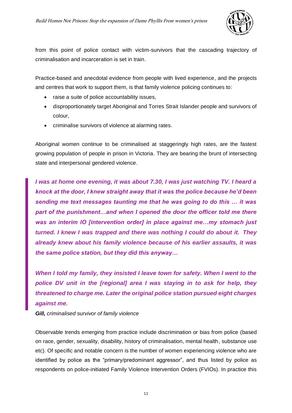

from this point of police contact with victim-survivors that the cascading trajectory of criminalisation and incarceration is set in train.

Practice-based and anecdotal evidence from people with lived experience, and the projects and centres that work to support them, is that family violence policing continues to:

- raise a suite of police accountability issues,
- disproportionately target Aboriginal and Torres Strait Islander people and survivors of colour,
- criminalise survivors of violence at alarming rates.

Aboriginal women continue to be criminalised at staggeringly high rates, are the fastest growing population of people in prison in Victoria. They are bearing the brunt of intersecting state and interpersonal gendered violence.

*I was at home one evening, it was about 7.30, I was just watching TV. I heard a knock at the door, I knew straight away that it was the police because he'd been sending me text messages taunting me that he was going to do this … it was part of the punishment…and when I opened the door the officer told me there was an interim IO [intervention order] in place against me…my stomach just turned. I knew I was trapped and there was nothing I could do about it. They already knew about his family violence because of his earlier assaults, it was the same police station, but they did this anyway…*

*When I told my family, they insisted I leave town for safety. When I went to the police DV unit in the [regional] area I was staying in to ask for help, they threatened to charge me. Later the original police station pursued eight charges against me.*

*Gill, criminalised survivor of family violence*

Observable trends emerging from practice include discrimination or bias from police (based on race, gender, sexuality, disability, history of criminalisation, mental health, substance use etc). Of specific and notable concern is the number of women experiencing violence who are identified by police as the "primary/predominant aggressor", and thus listed by police as respondents on police-initiated Family Violence Intervention Orders (FVIOs). In practice this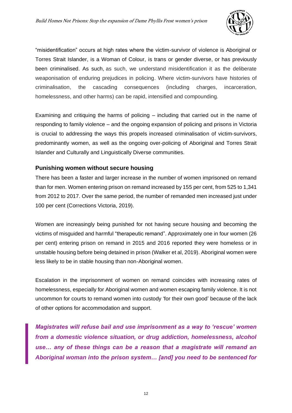

"misidentification" occurs at high rates where the victim-survivor of violence is Aboriginal or Torres Strait Islander, is a Woman of Colour, is trans or gender diverse, or has previously been criminalised. As such, as such, we understand misidentification it as the deliberate weaponisation of enduring prejudices in policing. Where victim-survivors have histories of criminalisation, the cascading consequences (including charges, incarceration, homelessness, and other harms) can be rapid, intensified and compounding.

Examining and critiquing the harms of policing – including that carried out in the name of responding to family violence – and the ongoing expansion of policing and prisons in Victoria is crucial to addressing the ways this propels increased criminalisation of victim-survivors, predominantly women, as well as the ongoing over-policing of Aboriginal and Torres Strait Islander and Culturally and Linguistically Diverse communities.

#### <span id="page-12-0"></span>**Punishing women without secure housing**

There has been a faster and larger increase in the number of women imprisoned on remand than for men. Women entering prison on remand increased by 155 per cent, from 525 to 1,341 from 2012 to 2017. Over the same period, the number of remanded men increased just under 100 per cent (Corrections Victoria, 2019).

Women are increasingly being punished for not having secure housing and becoming the victims of misguided and harmful "therapeutic remand". Approximately one in four women (26 per cent) entering prison on remand in 2015 and 2016 reported they were homeless or in unstable housing before being detained in prison (Walker et al, 2019). Aboriginal women were less likely to be in stable housing than non-Aboriginal women.

Escalation in the imprisonment of women on remand coincides with increasing rates of homelessness, especially for Aboriginal women and women escaping family violence. It is not uncommon for courts to remand women into custody 'for their own good' because of the lack of other options for accommodation and support.

*Magistrates will refuse bail and use imprisonment as a way to 'rescue' women from a domestic violence situation, or drug addiction, homelessness, alcohol use… any of these things can be a reason that a magistrate will remand an Aboriginal woman into the prison system… [and] you need to be sentenced for*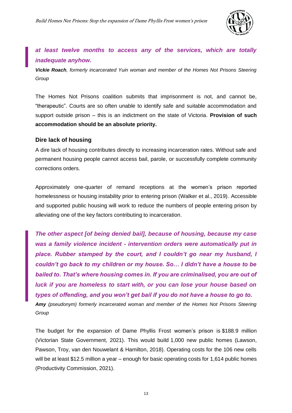

### *at least twelve months to access any of the services, which are totally inadequate anyhow.*

*Vickie Roach, formerly incarcerated Yuin woman and member of the Homes Not Prisons Steering Group*

The Homes Not Prisons coalition submits that imprisonment is not, and cannot be, "therapeutic". Courts are so often unable to identify safe and suitable accommodation and support outside prison – this is an indictment on the state of Victoria. **Provision of such accommodation should be an absolute priority.** 

#### <span id="page-13-0"></span>**Dire lack of housing**

A dire lack of housing contributes directly to increasing incarceration rates. Without safe and permanent housing people cannot access bail, parole, or successfully complete community corrections orders.

Approximately one-quarter of remand receptions at the women's prison reported homelessness or housing instability prior to entering prison (Walker et al., 2019). Accessible and supported public housing will work to reduce the numbers of people entering prison by alleviating one of the key factors contributing to incarceration.

*The other aspect [of being denied bail], because of housing, because my case was a family violence incident - intervention orders were automatically put in place. Rubber stamped by the court, and I couldn't go near my husband, I couldn't go back to my children or my house. So… I didn't have a house to be bailed to. That's where housing comes in. If you are criminalised, you are out of luck if you are homeless to start with, or you can lose your house based on types of offending, and you won't get bail if you do not have a house to go to. Amy (pseudonym) formerly incarcerated woman and member of the Homes Not Prisons Steering* 

*Group*

The budget for the expansion of Dame Phyllis Frost women's prison is \$188.9 million (Victorian State Government, 2021). This would build 1,000 new public homes (Lawson, Pawson, Troy, van den Nouwelant & Hamilton, 2018). Operating costs for the 106 new cells will be at least \$12.5 million a year – enough for basic operating costs for 1,614 public homes (Productivity Commission, 2021).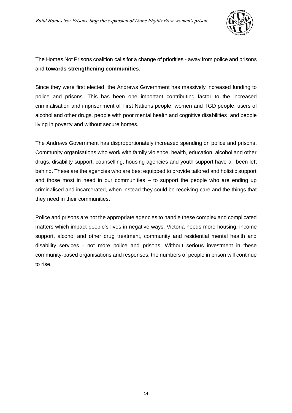

The Homes Not Prisons coalition calls for a change of priorities - away from police and prisons and **towards strengthening communities.**

Since they were first elected, the Andrews Government has massively increased funding to police and prisons. This has been one important contributing factor to the increased criminalisation and imprisonment of First Nations people, women and TGD people, users of alcohol and other drugs, people with poor mental health and cognitive disabilities, and people living in poverty and without secure homes.

The Andrews Government has disproportionately increased spending on police and prisons. Community organisations who work with family violence, health, education, alcohol and other drugs, disability support, counselling, housing agencies and youth support have all been left behind. These are the agencies who are best equipped to provide tailored and holistic support and those most in need in our communities  $-$  to support the people who are ending up criminalised and incarcerated, when instead they could be receiving care and the things that they need in their communities.

Police and prisons are not the appropriate agencies to handle these complex and complicated matters which impact people's lives in negative ways. Victoria needs more housing, income support, alcohol and other drug treatment, community and residential mental health and disability services - not more police and prisons. Without serious investment in these community-based organisations and responses, the numbers of people in prison will continue to rise.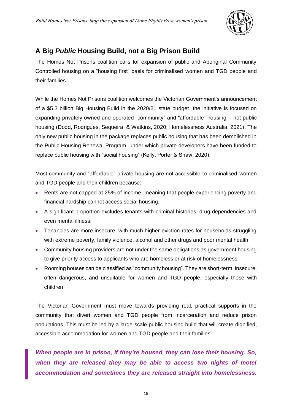

### <span id="page-15-0"></span>**A Big** *Public* **Housing Build, not a Big Prison Build**

The Homes Not Prisons coalition calls for expansion of public and Aboriginal Community Controlled housing on a "housing first" basis for criminalised women and TGD people and their families.

While the Homes Not Prisons coalition welcomes the Victorian Government's announcement of a \$5.3 billion Big Housing Build in the 2020/21 state budget, the initiative is focused on expanding privately owned and operated "community" and "affordable" housing – not public housing (Dodd, Rodrigues, Sequeira, & Watkins, 2020; Homelessness Australia, 2021). The only new public housing in the package replaces public housing that has been demolished in the Public Housing Renewal Program, under which private developers have been funded to replace public housing with "social housing" (Kelly, Porter & Shaw, 2020).

Most community and "affordable" private housing are not accessible to criminalised women and TGD people and their children because:

- Rents are not capped at 25% of income, meaning that people experiencing poverty and financial hardship cannot access social housing.
- A significant proportion excludes tenants with criminal histories, drug dependencies and even mental illness.
- Tenancies are more insecure, with much higher eviction rates for households struggling with extreme poverty, family violence, alcohol and other drugs and poor mental health.
- Community housing providers are not under the same obligations as government housing to give priority access to applicants who are homeless or at risk of homelessness.
- Rooming houses can be classified as "community housing". They are short-term, insecure, often dangerous, and unsuitable for women and TGD people, especially those with children.

The Victorian Government must move towards providing real, practical supports in the community that divert women and TGD people from incarceration and reduce prison populations. This must be led by a large-scale public housing build that will create dignified, accessible accommodation for women and TGD people and their families.

*When people are in prison, if they're housed, they can lose their housing. So, when they are released they may be able to access two nights of motel accommodation and sometimes they are released straight into homelessness.*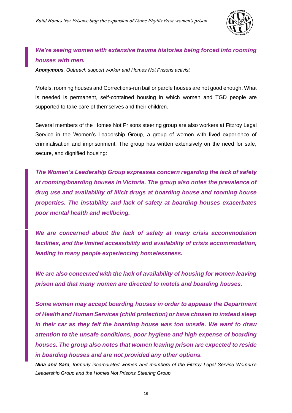

### *We're seeing women with extensive trauma histories being forced into rooming houses with men.*

*Anonymous, Outreach support worker and Homes Not Prisons activist*

Motels, rooming houses and Corrections-run bail or parole houses are not good enough. What is needed is permanent, self-contained housing in which women and TGD people are supported to take care of themselves and their children.

Several members of the Homes Not Prisons steering group are also workers at Fitzroy Legal Service in the Women's Leadership Group, a group of women with lived experience of criminalisation and imprisonment. The group has written extensively on the need for safe, secure, and dignified housing:

*The Women's Leadership Group expresses concern regarding the lack of safety at rooming/boarding houses in Victoria. The group also notes the prevalence of drug use and availability of illicit drugs at boarding house and rooming house properties. The instability and lack of safety at boarding houses exacerbates poor mental health and wellbeing.* 

*We are concerned about the lack of safety at many crisis accommodation facilities, and the limited accessibility and availability of crisis accommodation, leading to many people experiencing homelessness.* 

*We are also concerned with the lack of availability of housing for women leaving prison and that many women are directed to motels and boarding houses.* 

*Some women may accept boarding houses in order to appease the Department of Health and Human Services (child protection) or have chosen to instead sleep in their car as they felt the boarding house was too unsafe. We want to draw attention to the unsafe conditions, poor hygiene and high expense of boarding houses. The group also notes that women leaving prison are expected to reside in boarding houses and are not provided any other options.*

*Nina and Sara, formerly incarcerated women and members of the Fitzroy Legal Service Women's Leadership Group and the Homes Not Prisons Steering Group*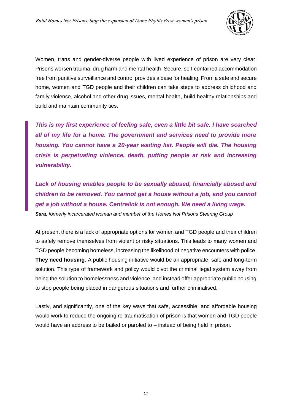

Women, trans and gender-diverse people with lived experience of prison are very clear: Prisons worsen trauma, drug harm and mental health. Secure, self-contained accommodation free from punitive surveillance and control provides a base for healing. From a safe and secure home, women and TGD people and their children can take steps to address childhood and family violence, alcohol and other drug issues, mental health, build healthy relationships and build and maintain community ties.

*This is my first experience of feeling safe, even a little bit safe. I have searched all of my life for a home. The government and services need to provide more housing. You cannot have a 20-year waiting list. People will die. The housing crisis is perpetuating violence, death, putting people at risk and increasing vulnerability.*

*Lack of housing enables people to be sexually abused, financially abused and children to be removed. You cannot get a house without a job, and you cannot get a job without a house. Centrelink is not enough. We need a living wage. Sara, formerly incarcerated woman and member of the Homes Not Prisons Steering Group*

At present there is a lack of appropriate options for women and TGD people and their children to safely remove themselves from violent or risky situations. This leads to many women and TGD people becoming homeless, increasing the likelihood of negative encounters with police. **They need housing**. A public housing initiative would be an appropriate, safe and long-term solution. This type of framework and policy would pivot the criminal legal system away from being the solution to homelessness and violence, and instead offer appropriate public housing to stop people being placed in dangerous situations and further criminalised.

Lastly, and significantly, one of the key ways that safe, accessible, and affordable housing would work to reduce the ongoing re-traumatisation of prison is that women and TGD people would have an address to be bailed or paroled to – instead of being held in prison.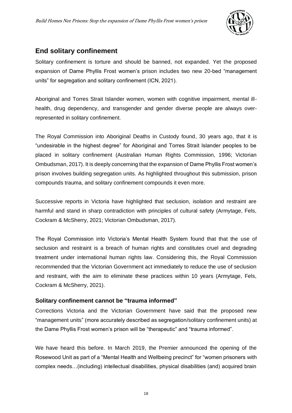

### <span id="page-18-0"></span>**End solitary confinement**

Solitary confinement is torture and should be banned, not expanded. Yet the proposed expansion of Dame Phyllis Frost women's prison includes two new 20-bed "management units" for segregation and solitary confinement (ICN, 2021).

Aboriginal and Torres Strait Islander women, women with cognitive impairment, mental illhealth, drug dependency, and transgender and gender diverse people are always overrepresented in solitary confinement.

The Royal Commission into Aboriginal Deaths in Custody found, 30 years ago, that it is "undesirable in the highest degree" for Aboriginal and Torres Strait Islander peoples to be placed in solitary confinement (Australian Human Rights Commission, 1996; Victorian Ombudsman, 2017). It is deeply concerning that the expansion of Dame Phyllis Frost women's prison involves building segregation units. As highlighted throughout this submission, prison compounds trauma, and solitary confinement compounds it even more.

Successive reports in Victoria have highlighted that seclusion, isolation and restraint are harmful and stand in sharp contradiction with principles of cultural safety (Armytage, Fels, Cockram & McSherry, 2021; Victorian Ombudsman, 2017).

The Royal Commission into Victoria's Mental Health System found that that the use of seclusion and restraint is a breach of human rights and constitutes cruel and degrading treatment under international human rights law. Considering this, the Royal Commission recommended that the Victorian Government act immediately to reduce the use of seclusion and restraint, with the aim to eliminate these practices within 10 years (Armytage, Fels, Cockram & McSherry, 2021).

### <span id="page-18-1"></span>**Solitary confinement cannot be "trauma informed"**

Corrections Victoria and the Victorian Government have said that the proposed new "management units" (more accurately described as segregation/solitary confinement units) at the Dame Phyllis Frost women's prison will be "therapeutic" and "trauma informed".

We have heard this before. In March 2019, the Premier announced the opening of the Rosewood Unit as part of a "Mental Health and Wellbeing precinct" for "women prisoners with complex needs…(including) intellectual disabilities, physical disabilities (and) acquired brain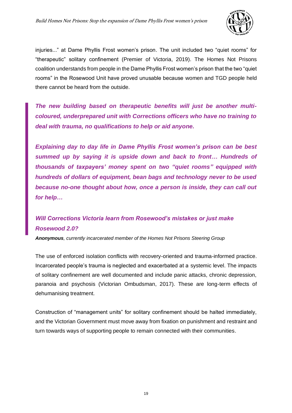

injuries..." at Dame Phyllis Frost women's prison. The unit included two "quiet rooms" for "therapeutic" solitary confinement (Premier of Victoria, 2019). The Homes Not Prisons coalition understands from people in the Dame Phyllis Frost women's prison that the two "quiet rooms" in the Rosewood Unit have proved unusable because women and TGD people held there cannot be heard from the outside.

*The new building based on therapeutic benefits will just be another multicoloured, underprepared unit with Corrections officers who have no training to deal with trauma, no qualifications to help or aid anyone.*

*Explaining day to day life in Dame Phyllis Frost women's prison can be best summed up by saying it is upside down and back to front… Hundreds of thousands of taxpayers' money spent on two "quiet rooms" equipped with hundreds of dollars of equipment, bean bags and technology never to be used because no-one thought about how, once a person is inside, they can call out for help…*

# *Will Corrections Victoria learn from Rosewood's mistakes or just make Rosewood 2.0?*

*Anonymous, currently incarcerated member of the Homes Not Prisons Steering Group*

The use of enforced isolation conflicts with recovery-oriented and trauma-informed practice. Incarcerated people's trauma is neglected and exacerbated at a systemic level. The impacts of solitary confinement are well documented and include panic attacks, chronic depression, paranoia and psychosis (Victorian Ombudsman, 2017). These are long-term effects of dehumanising treatment.

Construction of "management units" for solitary confinement should be halted immediately, and the Victorian Government must move away from fixation on punishment and restraint and turn towards ways of supporting people to remain connected with their communities.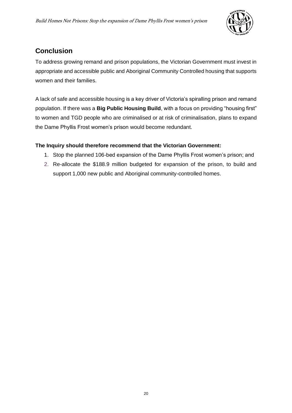

# <span id="page-20-0"></span>**Conclusion**

To address growing remand and prison populations, the Victorian Government must invest in appropriate and accessible public and Aboriginal Community Controlled housing that supports women and their families.

A lack of safe and accessible housing is a key driver of Victoria's spiralling prison and remand population. If there was a **Big Public Housing Build**, with a focus on providing "housing first" to women and TGD people who are criminalised or at risk of criminalisation, plans to expand the Dame Phyllis Frost women's prison would become redundant.

### **The Inquiry should therefore recommend that the Victorian Government:**

- 1. Stop the planned 106-bed expansion of the Dame Phyllis Frost women's prison; and
- 2. Re-allocate the \$188.9 million budgeted for expansion of the prison, to build and support 1,000 new public and Aboriginal community-controlled homes.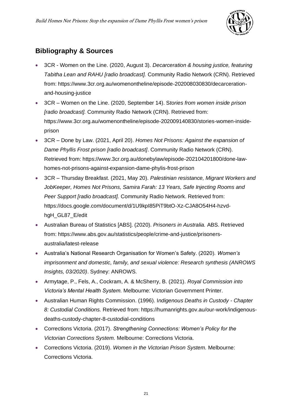

# <span id="page-21-0"></span>**Bibliography & Sources**

- 3CR Women on the Line. (2020, August 3). *Decarceration & housing justice, featuring Tabitha Lean and RAHU [radio broadcast].* Community Radio Network (CRN). Retrieved from: https://www.3cr.org.au/womenontheline/episode-202008030830/decarcerationand-housing-justice
- 3CR Women on the Line. (2020, September 14). S*tories from women inside prison [radio broadcast].* Community Radio Network (CRN). Retrieved from: https://www.3cr.org.au/womenontheline/episode-202009140830/stories-women-insideprison
- 3CR Done by Law. (2021, April 20). *Homes Not Prisons: Against the expansion of Dame Phyllis Frost prison [radio broadcast]*. Community Radio Network (CRN). Retrieved from: https://www.3cr.org.au/donebylaw/episode-202104201800/done-lawhomes-not-prisons-against-expansion-dame-phylis-frost-prison
- 3CR Thursday Breakfast. (2021, May 20). *Palestinian resistance, Migrant Workers and JobKeeper, Homes Not Prisons, Samira Farah: 13 Years, Safe Injecting Rooms and Peer Support [radio broadcast].* Community Radio Network. Retrieved from: https://docs.google.com/document/d/1U9kpI85PiT9btO-Xz-CJA8O54H4-hzvdhgH\_GL87\_E/edit
- Australian Bureau of Statistics [ABS]. (2020). *Prisoners in Australia.* ABS. Retrieved from: https://www.abs.gov.au/statistics/people/crime-and-justice/prisonersaustralia/latest-release
- Australia's National Research Organisation for Women's Safety. (2020). *Women's imprisonment and domestic, family, and sexual violence: Research synthesis (ANROWS Insights, 03/2020)*. Sydney: ANROWS.
- Armytage, P., Fels, A., Cockram, A. & McSherry, B. (2021). *Royal Commission into Victoria's Mental Health System.* Melbourne: Victorian Government Printer.
- Australian Human Rights Commission. (1996). I*ndigenous Deaths in Custody - Chapter 8: Custodial Conditions.* Retrieved from: https://humanrights.gov.au/our-work/indigenousdeaths-custody-chapter-8-custodial-conditions
- Corrections Victoria. (2017). *Strengthening Connections: Women's Policy for the Victorian Corrections System.* Melbourne: Corrections Victoria.
- Corrections Victoria. (2019). *Women in the Victorian Prison System.* Melbourne: Corrections Victoria.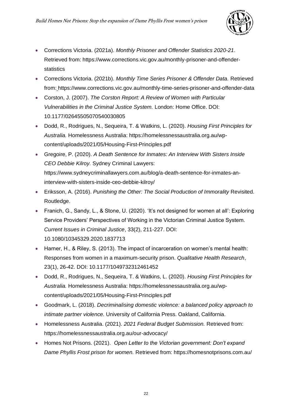

- Corrections Victoria. (2021a). *Monthly Prisoner and Offender Statistics 2020-21*. Retrieved from: https://www.corrections.vic.gov.au/monthly-prisoner-and-offenderstatistics
- Corrections Victoria. (2021b). *Monthly Time Series Prisoner & Offender Data.* Retrieved from: https://www.corrections.vic.gov.au/monthly-time-series-prisoner-and-offender-data
- Corston, J. (2007). *The Corston Report: A Review of Women with Particular Vulnerabilities in the Criminal Justice System.* London: Home Office. DOI: 10.1177/02645505070540030805
- Dodd, R., Rodrigues, N., Sequeira, T. & Watkins, L. (2020). *Housing First Principles for Australia.* Homelessness Australia: https://homelessnessaustralia.org.au/wpcontent/uploads/2021/05/Housing-First-Principles.pdf
- Gregoire, P. (2020). *A Death Sentence for Inmates: An Interview With Sisters Inside CEO Debbie Kilroy.* Sydney Criminal Lawyers: https://www.sydneycriminallawyers.com.au/blog/a-death-sentence-for-inmates-aninterview-with-sisters-inside-ceo-debbie-kilroy/
- Eriksson, A. (2016). *Punishing the Other: The Social Production of Immorality* Revisited. Routledge.
- Franich, G., Sandy, L., & Stone, U. (2020). 'It's not designed for women at all': Exploring Service Providers' Perspectives of Working in the Victorian Criminal Justice System. *Current Issues in Criminal Justice*, 33(2), 211-227. DOI: 10.1080/10345329.2020.1837713
- Harner, H., & Riley, S. (2013). The impact of incarceration on women's mental health: Responses from women in a maximum-security prison. *Qualitative Health Research*, 23(1), 26-42. DOI: 10.1177/1049732312461452
- Dodd, R., Rodrigues, N., Sequeira, T. & Watkins, L. (2020). *Housing First Principles for Australia.* Homelessness Australia: https://homelessnessaustralia.org.au/wpcontent/uploads/2021/05/Housing-First-Principles.pdf
- Goodmark, L. (2018). *Decriminalising domestic violence: a balanced policy approach to intimate partner violence.* University of California Press. Oakland, California.
- Homelessness Australia. (2021). *2021 Federal Budget Submission.* Retrieved from: https://homelessnessaustralia.org.au/our-advocacy/
- Homes Not Prisons. (2021). *Open Letter to the Victorian government: Don't expand Dame Phyllis Frost prison for women.* Retrieved from: https://homesnotprisons.com.au/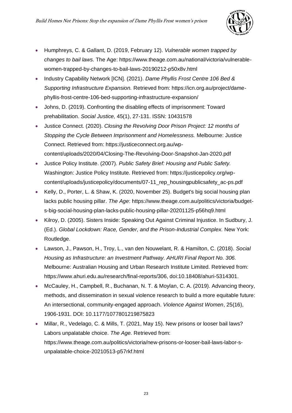

- Humphreys, C. & Gallant, D. (2019, February 12). *Vulnerable women trapped by changes to bail laws.* The Age: https://www.theage.com.au/national/victoria/vulnerablewomen-trapped-by-changes-to-bail-laws-20190212-p50x8v.html
- Industry Capability Network [ICN]. (2021). *Dame Phyllis Frost Centre 106 Bed & Supporting Infrastructure Expansion.* Retrieved from: https://icn.org.au/project/damephyllis-frost-centre-106-bed-supporting-infrastructure-expansion/
- Johns, D. (2019). Confronting the disabling effects of imprisonment: Toward prehabilitation. *Social Justice,* 45(1), 27-131. ISSN: 10431578
- Justice Connect. (2020). *Closing the Revolving Door Prison Project: 12 months of Stopping the Cycle Between Imprisonment and Homelessness.* Melbourne: Justice Connect. Retrieved from: https://justiceconnect.org.au/wpcontent/uploads/2020/04/Closing-The-Revolving-Door-Snapshot-Jan-2020.pdf
- Justice Policy Institute. (2007). *Public Safety Brief: Housing and Public Safety.*  Washington: Justice Policy Institute. Retrieved from: https://justicepolicy.org/wpcontent/uploads/justicepolicy/documents/07-11\_rep\_housingpublicsafety\_ac-ps.pdf
- Kelly, D., Porter, L. & Shaw, K. (2020, November 25). Budget's big social housing plan lacks public housing pillar. *The Age*: https://www.theage.com.au/politics/victoria/budgets-big-social-housing-plan-lacks-public-housing-pillar-20201125-p56hq9.html
- Kilroy, D. (2005). Sisters Inside: Speaking Out Against Criminal Injustice. In Sudbury, J. (Ed.). *Global Lockdown: Race, Gender, and the Prison-Industrial Complex.* New York: Routledge.
- Lawson, J., Pawson, H., Troy, L., van den Nouwelant, R. & Hamilton, C. (2018). *Social Housing as Infrastructure: an Investment Pathway. AHURI Final Report No. 306.*  Melbourne: Australian Housing and Urban Research Institute Limited. Retrieved from: https://www.ahuri.edu.au/research/final-reports/306, doi:10.18408/ahuri-5314301.
- McCauley, H., Campbell, R., Buchanan, N. T. & Moylan, C. A. (2019). Advancing theory, methods, and dissemination in sexual violence research to build a more equitable future: An intersectional, community-engaged approach. *Violence Against Women*, 25(16), 1906-1931. DOI: 10.1177/1077801219875823
- Millar, R., Vedelago, C. & Mills, T. (2021, May 15). New prisons or looser bail laws? Labors unpalatable choice. *The Age.* Retrieved from: https://www.theage.com.au/politics/victoria/new-prisons-or-looser-bail-laws-labor-sunpalatable-choice-20210513-p57rkf.html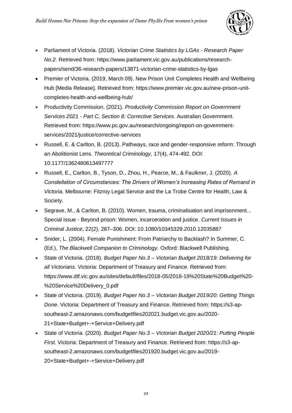

- Parliament of Victoria. (2018). *Victorian Crime Statistics by LGAs - Research Paper No.2.* Retrieved from: https://www.parliament.vic.gov.au/publications/researchpapers/send/36-research-papers/13871-victorian-crime-statistics-by-lgas
- Premier of Victoria. (2019. March 09). New Prison Unit Completes Health and Wellbeing Hub [Media Release]. Retrieved from: https://www.premier.vic.gov.au/new-prison-unitcompletes-health-and-wellbeing-hub/
- Productivity Commission. (2021). *Productivity Commission Report on Government Services 2021 - Part C, Section 8: Corrective Services.* Australian Government. Retrieved from: https://www.pc.gov.au/research/ongoing/report-on-governmentservices/2021/justice/corrective-services
- Russell, E. & Carlton, B. (2013). Pathways, race and gender-responsive reform: Through an Abolitionist Lens. *Theoretical Criminology*, 17(4), 474-492. DOI: 10.1177/1362480613497777
- Russell, E., Carlton, B., Tyson, D., Zhou, H., Pearce, M., & Faulkner, J. (2020). *A Constellation of Circumstances: The Drivers of Women's Increasing Rates of Remand in Victoria.* Melbourne: Fitzroy Legal Service and the La Trobe Centre for Health, Law & Society.
- Segrave, M., & Carlton, B. (2010). Women, trauma, criminalisation and imprisonment... Special issue - Beyond prison: Women, incarceration and justice. *Current Issues in Criminal Justice*, 22(2), 287–306. DOI: 10.1080/10345329.2010.12035887
- Snider, L. (2004). Female Punishment: From Patriarchy to Backlash? In Summer, C. (Ed.), *The Blackwell Companion to Criminology.* Oxford: Blackwell Publishing.
- State of Victoria. (2018). *Budget Paper No.3 – Victorian Budget 2018/19: Delivering for all Victorians.* Victoria: Department of Treasury and Finance. Retrieved from: https://www.dtf.vic.gov.au/sites/default/files/2018-05/2018-19%20State%20Budget%20- %20Service%20Delivery\_0.pdf
- State of Victoria. (2019). *Budget Paper No.3 – Victorian Budget 2019/20: Getting Things Done.* Victoria: Department of Treasury and Finance. Retrieved from: https://s3-apsoutheast-2.amazonaws.com/budgetfiles202021.budget.vic.gov.au/2020- 21+State+Budget+-+Service+Delivery.pdf
- State of Victoria. (2020). *Budget Paper No.3 – Victorian Budget 2020/21: Putting People First.* Victoria: Department of Treasury and Finance. Retrieved from: https://s3-apsoutheast-2.amazonaws.com/budgetfiles201920.budget.vic.gov.au/2019- 20+State+Budget+-+Service+Delivery.pdf